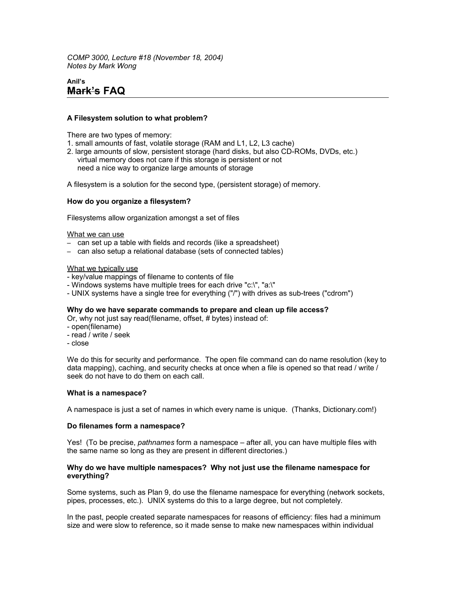*COMP 3000, Lecture #18 (November 18, 2004) Notes by Mark Wong*

# **Anil's Mark's FAQ**

## **A Filesystem solution to what problem?**

There are two types of memory:

- 1. small amounts of fast, volatile storage (RAM and L1, L2, L3 cache)
- 2. large amounts of slow, persistent storage (hard disks, but also CD-ROMs, DVDs, etc.) virtual memory does not care if this storage is persistent or not need a nice way to organize large amounts of storage

A filesystem is a solution for the second type, (persistent storage) of memory.

#### **How do you organize a filesystem?**

Filesystems allow organization amongst a set of files

#### What we can use

- can set up a table with fields and records (like a spreadsheet)
- can also setup a relational database (sets of connected tables)

#### What we typically use

- key/value mappings of filename to contents of file
- Windows systems have multiple trees for each drive "c:\", "a:\"
- UNIX systems have a single tree for everything ("/") with drives as sub-trees ("cdrom")

#### **Why do we have separate commands to prepare and clean up file access?**

Or, why not just say read(filename, offset, # bytes) instead of:

- open(filename)
- read / write / seek
- close

We do this for security and performance. The open file command can do name resolution (key to data mapping), caching, and security checks at once when a file is opened so that read / write / seek do not have to do them on each call.

#### **What is a namespace?**

A namespace is just a set of names in which every name is unique. (Thanks, Dictionary.com!)

## **Do filenames form a namespace?**

Yes! (To be precise, *pathnames* form a namespace – after all, you can have multiple files with the same name so long as they are present in different directories.)

#### **Why do we have multiple namespaces? Why not just use the filename namespace for everything?**

Some systems, such as Plan 9, do use the filename namespace for everything (network sockets, pipes, processes, etc.). UNIX systems do this to a large degree, but not completely.

In the past, people created separate namespaces for reasons of efficiency: files had a minimum size and were slow to reference, so it made sense to make new namespaces within individual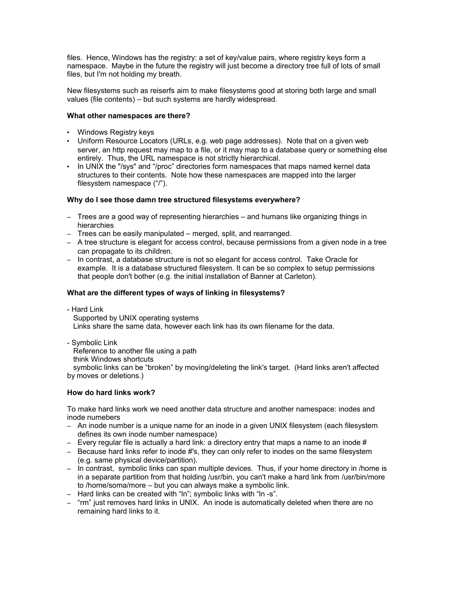files. Hence, Windows has the registry: a set of key/value pairs, where registry keys form a namespace. Maybe in the future the registry will just become a directory tree full of lots of small files, but I'm not holding my breath.

New filesystems such as reiserfs aim to make filesystems good at storing both large and small values (file contents) – but such systems are hardly widespread.

## **What other namespaces are there?**

- Windows Registry keys
- Uniform Resource Locators (URLs, e.g. web page addresses). Note that on a given web server, an http request may map to a file, or it may map to a database query or something else entirely. Thus, the URL namespace is not strictly hierarchical.
- In UNIX the "/sys" and "/proc" directories form namespaces that maps named kernel data structures to their contents. Note how these namespaces are mapped into the larger filesystem namespace ("/").

## **Why do I see those damn tree structured filesystems everywhere?**

- Trees are a good way of representing hierarchies and humans like organizing things in hierarchies
- Trees can be easily manipulated merged, split, and rearranged.
- A tree structure is elegant for access control, because permissions from a given node in a tree can propagate to its children.
- In contrast, a database structure is not so elegant for access control. Take Oracle for example. It is a database structured filesystem. It can be so complex to setup permissions that people don't bother (e.g. the initial installation of Banner at Carleton).

## **What are the different types of ways of linking in filesystems?**

- Hard Link Supported by UNIX operating systems Links share the same data, however each link has its own filename for the data.

- Symbolic Link

Reference to another file using a path

think Windows shortcuts

 symbolic links can be "broken" by moving/deleting the link's target. (Hard links aren't affected by moves or deletions.)

## **How do hard links work?**

To make hard links work we need another data structure and another namespace: inodes and inode numebers

- An inode number is a unique name for an inode in a given UNIX filesystem (each filesystem defines its own inode number namespace)
- $-$  Every regular file is actually a hard link: a directory entry that maps a name to an inode  $\#$
- Because hard links refer to inode #'s, they can only refer to inodes on the same filesystem (e.g. same physical device/partition).
- In contrast, symbolic links can span multiple devices. Thus, if your home directory in /home is in a separate partition from that holding /usr/bin, you can't make a hard link from /usr/bin/more to /home/soma/more – but you can always make a symbolic link.
- Hard links can be created with "ln"; symbolic links with "ln -s".
- "rm" just removes hard links in UNIX. An inode is automatically deleted when there are no remaining hard links to it.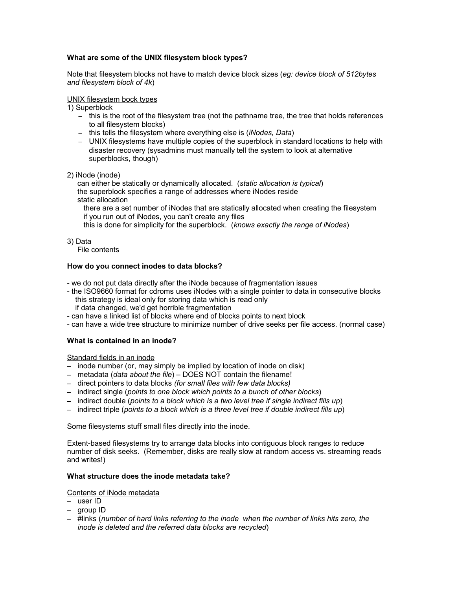# **What are some of the UNIX filesystem block types?**

Note that filesystem blocks not have to match device block sizes (*eg: device block of 512bytes and filesystem block of 4k*)

#### UNIX filesystem bock types

1) Superblock

- this is the root of the filesystem tree (not the pathname tree, the tree that holds references to all filesystem blocks)
- this tells the filesystem where everything else is (*iNodes, Data*)
- UNIX filesystems have multiple copies of the superblock in standard locations to help with disaster recovery (sysadmins must manually tell the system to look at alternative superblocks, though)
- 2) iNode (inode)

 can either be statically or dynamically allocated. (*static allocation is typical*) the superblock specifies a range of addresses where iNodes reside

static allocation

 there are a set number of iNodes that are statically allocated when creating the filesystem if you run out of iNodes, you can't create any files

this is done for simplicity for the superblock. (*knows exactly the range of iNodes*)

3) Data

File contents

## **How do you connect inodes to data blocks?**

- we do not put data directly after the iNode because of fragmentation issues

- the ISO9660 format for cdroms uses iNodes with a single pointer to data in consecutive blocks this strategy is ideal only for storing data which is read only if data changed, we'd get horrible fragmentation
- can have a linked list of blocks where end of blocks points to next block
- can have a wide tree structure to minimize number of drive seeks per file access. (normal case)

## **What is contained in an inode?**

Standard fields in an inode

- inode number (or, may simply be implied by location of inode on disk)
- metadata (*data about the file*) DOES NOT contain the filename!
- direct pointers to data blocks *(for small files with few data blocks)*
- indirect single (*points to one block which points to a bunch of other blocks*)
- indirect double (*points to a block which is a two level tree if single indirect fills up*)
- indirect triple (*points to a block which is a three level tree if double indirect fills up*)

Some filesystems stuff small files directly into the inode.

Extent-based filesystems try to arrange data blocks into contiguous block ranges to reduce number of disk seeks. (Remember, disks are really slow at random access vs. streaming reads and writes!)

## **What structure does the inode metadata take?**

#### Contents of iNode metadata

- user ID
- group ID
- #links (*number of hard links referring to the inode when the number of links hits zero, the inode is deleted and the referred data blocks are recycled*)